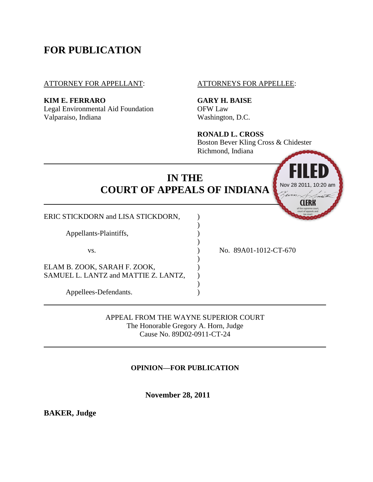# **FOR PUBLICATION**

ATTORNEY FOR APPELLANT: ATTORNEYS FOR APPELLEE:

**KIM E. FERRARO GARY H. BAISE**

Legal Environmental Aid Foundation OFW Law Valparaiso, Indiana Washington, D.C.

**RONALD L. CROSS**

Boston Bever Kling Cross & Chidester Richmond, Indiana



APPEAL FROM THE WAYNE SUPERIOR COURT The Honorable Gregory A. Horn, Judge Cause No. 89D02-0911-CT-24

**OPINION—FOR PUBLICATION**

 **November 28, 2011**

**BAKER, Judge**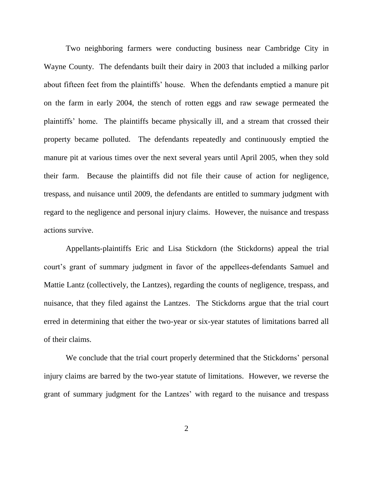Two neighboring farmers were conducting business near Cambridge City in Wayne County. The defendants built their dairy in 2003 that included a milking parlor about fifteen feet from the plaintiffs' house. When the defendants emptied a manure pit on the farm in early 2004, the stench of rotten eggs and raw sewage permeated the plaintiffs' home. The plaintiffs became physically ill, and a stream that crossed their property became polluted. The defendants repeatedly and continuously emptied the manure pit at various times over the next several years until April 2005, when they sold their farm. Because the plaintiffs did not file their cause of action for negligence, trespass, and nuisance until 2009, the defendants are entitled to summary judgment with regard to the negligence and personal injury claims. However, the nuisance and trespass actions survive.

Appellants-plaintiffs Eric and Lisa Stickdorn (the Stickdorns) appeal the trial court's grant of summary judgment in favor of the appellees-defendants Samuel and Mattie Lantz (collectively, the Lantzes), regarding the counts of negligence, trespass, and nuisance, that they filed against the Lantzes. The Stickdorns argue that the trial court erred in determining that either the two-year or six-year statutes of limitations barred all of their claims.

We conclude that the trial court properly determined that the Stickdorns' personal injury claims are barred by the two-year statute of limitations. However, we reverse the grant of summary judgment for the Lantzes' with regard to the nuisance and trespass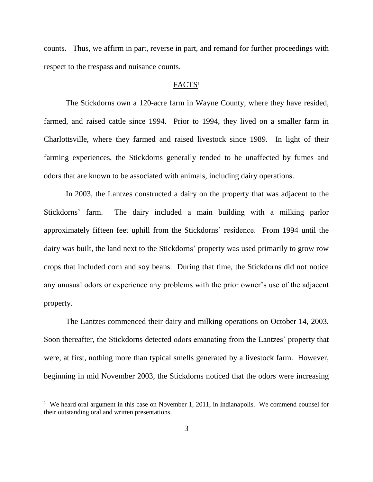counts. Thus, we affirm in part, reverse in part, and remand for further proceedings with respect to the trespass and nuisance counts.

#### FACTS<sup>1</sup>

The Stickdorns own a 120-acre farm in Wayne County, where they have resided, farmed, and raised cattle since 1994. Prior to 1994, they lived on a smaller farm in Charlottsville, where they farmed and raised livestock since 1989. In light of their farming experiences, the Stickdorns generally tended to be unaffected by fumes and odors that are known to be associated with animals, including dairy operations.

In 2003, the Lantzes constructed a dairy on the property that was adjacent to the Stickdorns' farm. The dairy included a main building with a milking parlor approximately fifteen feet uphill from the Stickdorns' residence. From 1994 until the dairy was built, the land next to the Stickdorns' property was used primarily to grow row crops that included corn and soy beans. During that time, the Stickdorns did not notice any unusual odors or experience any problems with the prior owner's use of the adjacent property.

The Lantzes commenced their dairy and milking operations on October 14, 2003. Soon thereafter, the Stickdorns detected odors emanating from the Lantzes' property that were, at first, nothing more than typical smells generated by a livestock farm. However, beginning in mid November 2003, the Stickdorns noticed that the odors were increasing

 $\overline{a}$ 

<sup>&</sup>lt;sup>1</sup> We heard oral argument in this case on November 1, 2011, in Indianapolis. We commend counsel for their outstanding oral and written presentations.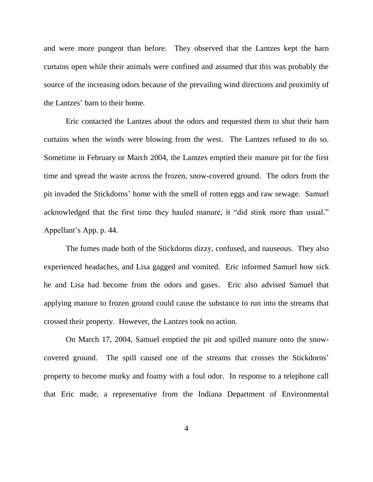and were more pungent than before. They observed that the Lantzes kept the barn curtains open while their animals were confined and assumed that this was probably the source of the increasing odors because of the prevailing wind directions and proximity of the Lantzes' barn to their home.

Eric contacted the Lantzes about the odors and requested them to shut their barn curtains when the winds were blowing from the west. The Lantzes refused to do so. Sometime in February or March 2004, the Lantzes emptied their manure pit for the first time and spread the waste across the frozen, snow-covered ground. The odors from the pit invaded the Stickdorns' home with the smell of rotten eggs and raw sewage. Samuel acknowledged that the first time they hauled manure, it "did stink more than usual." Appellant's App. p. 44.

The fumes made both of the Stickdorns dizzy, confused, and nauseous. They also experienced headaches, and Lisa gagged and vomited. Eric informed Samuel how sick he and Lisa had become from the odors and gases. Eric also advised Samuel that applying manure to frozen ground could cause the substance to run into the streams that crossed their property. However, the Lantzes took no action.

On March 17, 2004, Samuel emptied the pit and spilled manure onto the snowcovered ground. The spill caused one of the streams that crosses the Stickdorns' property to become murky and foamy with a foul odor. In response to a telephone call that Eric made, a representative from the Indiana Department of Environmental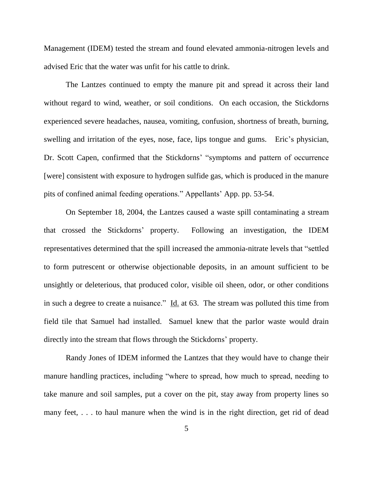Management (IDEM) tested the stream and found elevated ammonia-nitrogen levels and advised Eric that the water was unfit for his cattle to drink.

The Lantzes continued to empty the manure pit and spread it across their land without regard to wind, weather, or soil conditions. On each occasion, the Stickdorns experienced severe headaches, nausea, vomiting, confusion, shortness of breath, burning, swelling and irritation of the eyes, nose, face, lips tongue and gums. Eric's physician, Dr. Scott Capen, confirmed that the Stickdorns' "symptoms and pattern of occurrence [were] consistent with exposure to hydrogen sulfide gas, which is produced in the manure pits of confined animal feeding operations." Appellants' App. pp. 53-54.

On September 18, 2004, the Lantzes caused a waste spill contaminating a stream that crossed the Stickdorns' property. Following an investigation, the IDEM representatives determined that the spill increased the ammonia-nitrate levels that "settled to form putrescent or otherwise objectionable deposits, in an amount sufficient to be unsightly or deleterious, that produced color, visible oil sheen, odor, or other conditions in such a degree to create a nuisance."  $\underline{Id}$  at 63. The stream was polluted this time from field tile that Samuel had installed. Samuel knew that the parlor waste would drain directly into the stream that flows through the Stickdorns' property.

Randy Jones of IDEM informed the Lantzes that they would have to change their manure handling practices, including "where to spread, how much to spread, needing to take manure and soil samples, put a cover on the pit, stay away from property lines so many feet, ... to haul manure when the wind is in the right direction, get rid of dead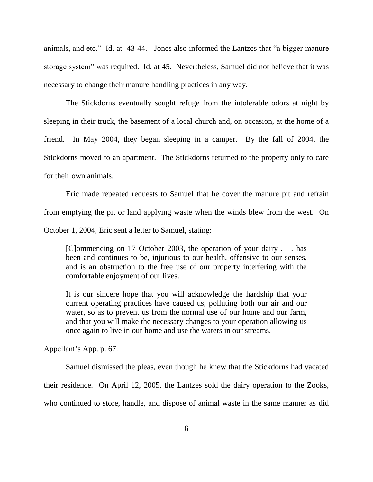animals, and etc." Id. at  $43-44$ . Jones also informed the Lantzes that "a bigger manure storage system" was required. Id. at 45. Nevertheless, Samuel did not believe that it was necessary to change their manure handling practices in any way.

The Stickdorns eventually sought refuge from the intolerable odors at night by sleeping in their truck, the basement of a local church and, on occasion, at the home of a friend. In May 2004, they began sleeping in a camper. By the fall of 2004, the Stickdorns moved to an apartment. The Stickdorns returned to the property only to care for their own animals.

Eric made repeated requests to Samuel that he cover the manure pit and refrain from emptying the pit or land applying waste when the winds blew from the west. On October 1, 2004, Eric sent a letter to Samuel, stating:

[C]ommencing on 17 October 2003, the operation of your dairy . . . has been and continues to be, injurious to our health, offensive to our senses, and is an obstruction to the free use of our property interfering with the comfortable enjoyment of our lives.

It is our sincere hope that you will acknowledge the hardship that your current operating practices have caused us, polluting both our air and our water, so as to prevent us from the normal use of our home and our farm, and that you will make the necessary changes to your operation allowing us once again to live in our home and use the waters in our streams.

Appellant's App. p. 67.

Samuel dismissed the pleas, even though he knew that the Stickdorns had vacated their residence. On April 12, 2005, the Lantzes sold the dairy operation to the Zooks, who continued to store, handle, and dispose of animal waste in the same manner as did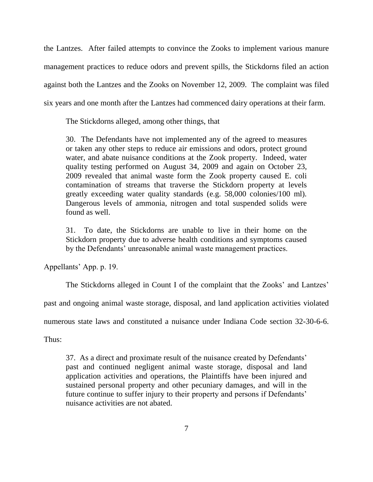the Lantzes. After failed attempts to convince the Zooks to implement various manure management practices to reduce odors and prevent spills, the Stickdorns filed an action against both the Lantzes and the Zooks on November 12, 2009. The complaint was filed six years and one month after the Lantzes had commenced dairy operations at their farm.

The Stickdorns alleged, among other things, that

30. The Defendants have not implemented any of the agreed to measures or taken any other steps to reduce air emissions and odors, protect ground water, and abate nuisance conditions at the Zook property. Indeed, water quality testing performed on August 34, 2009 and again on October 23, 2009 revealed that animal waste form the Zook property caused E. coli contamination of streams that traverse the Stickdorn property at levels greatly exceeding water quality standards (e.g. 58,000 colonies/100 ml). Dangerous levels of ammonia, nitrogen and total suspended solids were found as well.

31. To date, the Stickdorns are unable to live in their home on the Stickdorn property due to adverse health conditions and symptoms caused by the Defendants' unreasonable animal waste management practices.

Appellants' App. p. 19.

The Stickdorns alleged in Count I of the complaint that the Zooks' and Lantzes'

past and ongoing animal waste storage, disposal, and land application activities violated

numerous state laws and constituted a nuisance under Indiana Code section 32-30-6-6.

Thus:

37. As a direct and proximate result of the nuisance created by Defendants' past and continued negligent animal waste storage, disposal and land application activities and operations, the Plaintiffs have been injured and sustained personal property and other pecuniary damages, and will in the future continue to suffer injury to their property and persons if Defendants' nuisance activities are not abated.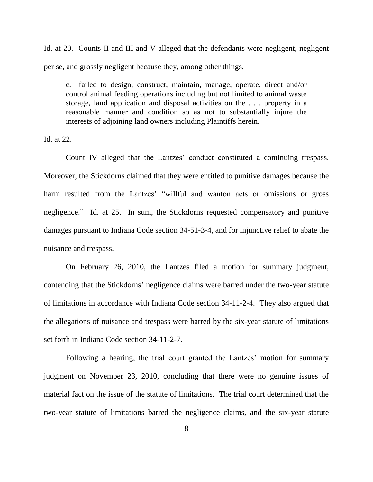Id. at 20. Counts II and III and V alleged that the defendants were negligent, negligent per se, and grossly negligent because they, among other things,

c. failed to design, construct, maintain, manage, operate, direct and/or control animal feeding operations including but not limited to animal waste storage, land application and disposal activities on the . . . property in a reasonable manner and condition so as not to substantially injure the interests of adjoining land owners including Plaintiffs herein.

Id. at 22.

Count IV alleged that the Lantzes' conduct constituted a continuing trespass. Moreover, the Stickdorns claimed that they were entitled to punitive damages because the harm resulted from the Lantzes' "willful and wanton acts or omissions or gross negligence." Id. at 25. In sum, the Stickdorns requested compensatory and punitive damages pursuant to Indiana Code section 34-51-3-4, and for injunctive relief to abate the nuisance and trespass.

On February 26, 2010, the Lantzes filed a motion for summary judgment, contending that the Stickdorns' negligence claims were barred under the two-year statute of limitations in accordance with Indiana Code section 34-11-2-4. They also argued that the allegations of nuisance and trespass were barred by the six-year statute of limitations set forth in Indiana Code section 34-11-2-7.

Following a hearing, the trial court granted the Lantzes' motion for summary judgment on November 23, 2010, concluding that there were no genuine issues of material fact on the issue of the statute of limitations. The trial court determined that the two-year statute of limitations barred the negligence claims, and the six-year statute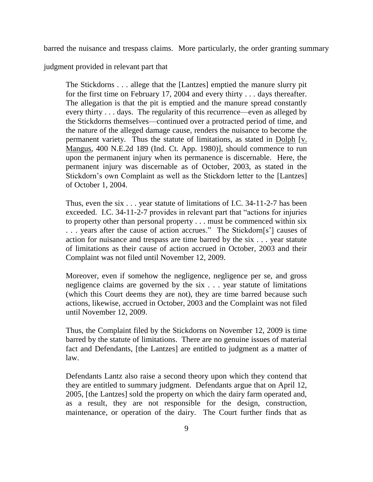barred the nuisance and trespass claims. More particularly, the order granting summary

judgment provided in relevant part that

The Stickdorns . . . allege that the [Lantzes] emptied the manure slurry pit for the first time on February 17, 2004 and every thirty . . . days thereafter. The allegation is that the pit is emptied and the manure spread constantly every thirty . . . days. The regularity of this recurrence—even as alleged by the Stickdorns themselves—continued over a protracted period of time, and the nature of the alleged damage cause, renders the nuisance to become the permanent variety. Thus the statute of limitations, as stated in Dolph [v. Mangus, 400 N.E.2d 189 (Ind. Ct. App. 1980)], should commence to run upon the permanent injury when its permanence is discernable. Here, the permanent injury was discernable as of October, 2003, as stated in the Stickdorn's own Complaint as well as the Stickdorn letter to the [Lantzes] of October 1, 2004.

Thus, even the six . . . year statute of limitations of I.C. 34-11-2-7 has been exceeded. I.C. 34-11-2-7 provides in relevant part that "actions for injuries" to property other than personal property . . . must be commenced within six ... years after the cause of action accrues." The Stickdorn[s'] causes of action for nuisance and trespass are time barred by the six . . . year statute of limitations as their cause of action accrued in October, 2003 and their Complaint was not filed until November 12, 2009.

Moreover, even if somehow the negligence, negligence per se, and gross negligence claims are governed by the six . . . year statute of limitations (which this Court deems they are not), they are time barred because such actions, likewise, accrued in October, 2003 and the Complaint was not filed until November 12, 2009.

Thus, the Complaint filed by the Stickdorns on November 12, 2009 is time barred by the statute of limitations. There are no genuine issues of material fact and Defendants, [the Lantzes] are entitled to judgment as a matter of law.

Defendants Lantz also raise a second theory upon which they contend that they are entitled to summary judgment. Defendants argue that on April 12, 2005, [the Lantzes] sold the property on which the dairy farm operated and, as a result, they are not responsible for the design, construction, maintenance, or operation of the dairy. The Court further finds that as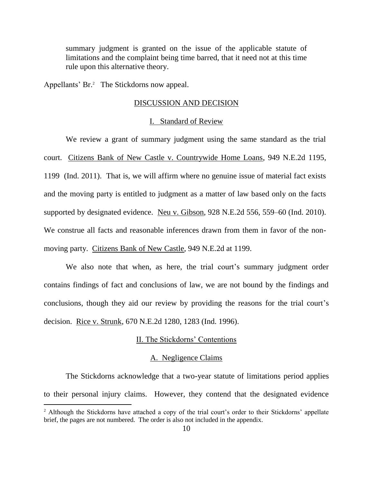summary judgment is granted on the issue of the applicable statute of limitations and the complaint being time barred, that it need not at this time rule upon this alternative theory.

Appellants' Br.<sup>2</sup> The Stickdorns now appeal.

 $\overline{a}$ 

#### DISCUSSION AND DECISION

# I. Standard of Review

We review a grant of summary judgment using the same standard as the trial court. Citizens Bank of New Castle v. Countrywide Home Loans, 949 N.E.2d 1195, 1199 (Ind. 2011). That is, we will affirm where no genuine issue of material fact exists and the moving party is entitled to judgment as a matter of law based only on the facts supported by designated evidence. Neu v. Gibson, 928 N.E.2d 556, 559–60 (Ind. 2010). We construe all facts and reasonable inferences drawn from them in favor of the nonmoving party. Citizens Bank of New Castle, 949 N.E.2d at 1199.

We also note that when, as here, the trial court's summary judgment order contains findings of fact and conclusions of law, we are not bound by the findings and conclusions, though they aid our review by providing the reasons for the trial court's decision. Rice v. Strunk, 670 N.E.2d 1280, 1283 (Ind. 1996).

# II. The Stickdorns' Contentions

#### A. Negligence Claims

The Stickdorns acknowledge that a two-year statute of limitations period applies to their personal injury claims. However, they contend that the designated evidence

<sup>&</sup>lt;sup>2</sup> Although the Stickdorns have attached a copy of the trial court's order to their Stickdorns' appellate brief, the pages are not numbered. The order is also not included in the appendix.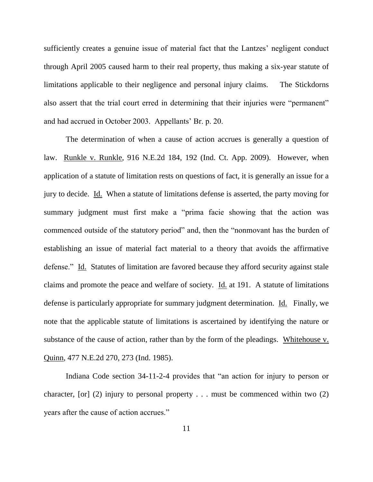sufficiently creates a genuine issue of material fact that the Lantzes' negligent conduct through April 2005 caused harm to their real property, thus making a six-year statute of limitations applicable to their negligence and personal injury claims. The Stickdorns also assert that the trial court erred in determining that their injuries were "permanent" and had accrued in October 2003. Appellants' Br. p. 20.

The determination of when a cause of action accrues is generally a question of law. Runkle v. Runkle, 916 N.E.2d 184, 192 (Ind. Ct. App. 2009). However, when application of a statute of limitation rests on questions of fact, it is generally an issue for a jury to decide. Id. When a statute of limitations defense is asserted, the party moving for summary judgment must first make a "prima facie showing that the action was commenced outside of the statutory period" and, then the "nonmovant has the burden of establishing an issue of material fact material to a theory that avoids the affirmative defense." Id. Statutes of limitation are favored because they afford security against stale claims and promote the peace and welfare of society. Id. at 191. A statute of limitations defense is particularly appropriate for summary judgment determination. Id. Finally, we note that the applicable statute of limitations is ascertained by identifying the nature or substance of the cause of action, rather than by the form of the pleadings. Whitehouse v. Quinn, 477 N.E.2d 270, 273 (Ind. 1985).

Indiana Code section  $34-11-2-4$  provides that "an action for injury to person or character,  $\lceil$  (2) injury to personal property . . . must be commenced within two (2) years after the cause of action accrues."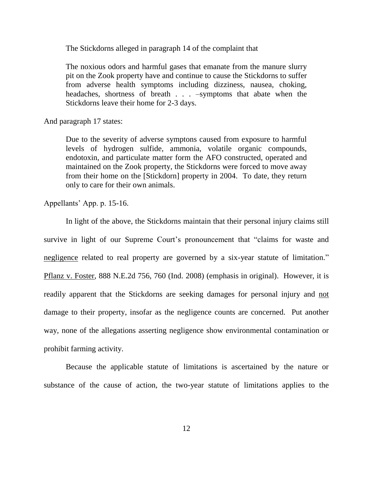The Stickdorns alleged in paragraph 14 of the complaint that

The noxious odors and harmful gases that emanate from the manure slurry pit on the Zook property have and continue to cause the Stickdorns to suffer from adverse health symptoms including dizziness, nausea, choking, headaches, shortness of breath . . . –symptoms that abate when the Stickdorns leave their home for 2-3 days.

And paragraph 17 states:

Due to the severity of adverse symptons caused from exposure to harmful levels of hydrogen sulfide, ammonia, volatile organic compounds, endotoxin, and particulate matter form the AFO constructed, operated and maintained on the Zook property, the Stickdorns were forced to move away from their home on the [Stickdorn] property in 2004. To date, they return only to care for their own animals.

Appellants' App. p. 15-16.

In light of the above, the Stickdorns maintain that their personal injury claims still survive in light of our Supreme Court's pronouncement that "claims for waste and negligence related to real property are governed by a six-year statute of limitation." Pflanz v. Foster, 888 N.E.2d 756, 760 (Ind. 2008) (emphasis in original). However, it is readily apparent that the Stickdorns are seeking damages for personal injury and not damage to their property, insofar as the negligence counts are concerned. Put another way, none of the allegations asserting negligence show environmental contamination or prohibit farming activity.

Because the applicable statute of limitations is ascertained by the nature or substance of the cause of action, the two-year statute of limitations applies to the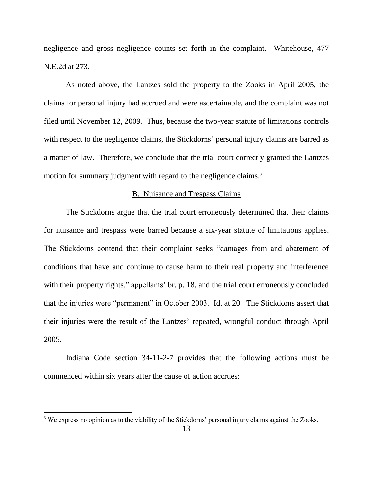negligence and gross negligence counts set forth in the complaint. Whitehouse, 477 N.E.2d at 273.

As noted above, the Lantzes sold the property to the Zooks in April 2005, the claims for personal injury had accrued and were ascertainable, and the complaint was not filed until November 12, 2009. Thus, because the two-year statute of limitations controls with respect to the negligence claims, the Stickdorns' personal injury claims are barred as a matter of law. Therefore, we conclude that the trial court correctly granted the Lantzes motion for summary judgment with regard to the negligence claims.<sup>3</sup>

# B. Nuisance and Trespass Claims

The Stickdorns argue that the trial court erroneously determined that their claims for nuisance and trespass were barred because a six-year statute of limitations applies. The Stickdorns contend that their complaint seeks "damages from and abatement of conditions that have and continue to cause harm to their real property and interference with their property rights," appellants' br. p. 18, and the trial court erroneously concluded that the injuries were "permanent" in October 2003. Id. at 20. The Stickdorns assert that their injuries were the result of the Lantzes' repeated, wrongful conduct through April 2005.

Indiana Code section 34-11-2-7 provides that the following actions must be commenced within six years after the cause of action accrues:

 $\overline{a}$ 

<sup>&</sup>lt;sup>3</sup> We express no opinion as to the viability of the Stickdorns' personal injury claims against the Zooks.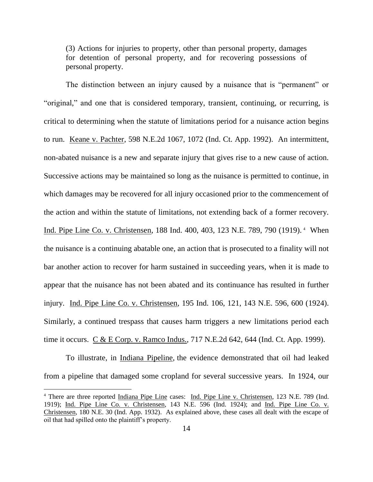(3) Actions for injuries to property, other than personal property, damages for detention of personal property, and for recovering possessions of personal property.

The distinction between an injury caused by a nuisance that is "permanent" or "original," and one that is considered temporary, transient, continuing, or recurring, is critical to determining when the statute of limitations period for a nuisance action begins to run. Keane v. Pachter, 598 N.E.2d 1067, 1072 (Ind. Ct. App. 1992). An intermittent, non-abated nuisance is a new and separate injury that gives rise to a new cause of action. Successive actions may be maintained so long as the nuisance is permitted to continue, in which damages may be recovered for all injury occasioned prior to the commencement of the action and within the statute of limitations, not extending back of a former recovery. Ind. Pipe Line Co. v. Christensen, 188 Ind. 400, 403, 123 N.E. 789, 790 (1919).<sup>4</sup> When the nuisance is a continuing abatable one, an action that is prosecuted to a finality will not bar another action to recover for harm sustained in succeeding years, when it is made to appear that the nuisance has not been abated and its continuance has resulted in further injury. Ind. Pipe Line Co. v. Christensen, 195 Ind. 106, 121, 143 N.E. 596, 600 (1924). Similarly, a continued trespass that causes harm triggers a new limitations period each time it occurs. C & E Corp. v. Ramco Indus., 717 N.E.2d 642, 644 (Ind. Ct. App. 1999).

To illustrate, in Indiana Pipeline, the evidence demonstrated that oil had leaked from a pipeline that damaged some cropland for several successive years. In 1924, our

<sup>&</sup>lt;sup>4</sup> There are three reported Indiana Pipe Line cases: Ind. Pipe Line v. Christensen, 123 N.E. 789 (Ind. 1919); Ind. Pipe Line Co. v. Christensen, 143 N.E. 596 (Ind. 1924); and Ind. Pipe Line Co. v. Christensen, 180 N.E. 30 (Ind. App. 1932). As explained above, these cases all dealt with the escape of oil that had spilled onto the plaintiff's property.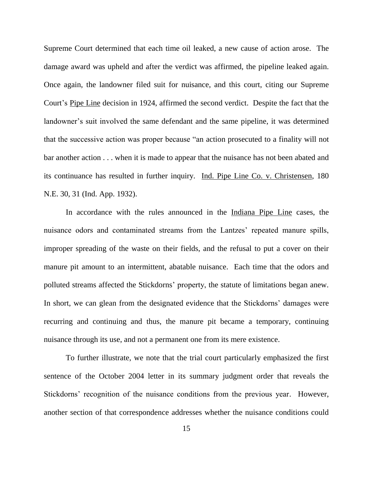Supreme Court determined that each time oil leaked, a new cause of action arose. The damage award was upheld and after the verdict was affirmed, the pipeline leaked again. Once again, the landowner filed suit for nuisance, and this court, citing our Supreme Court's Pipe Line decision in 1924, affirmed the second verdict. Despite the fact that the landowner's suit involved the same defendant and the same pipeline, it was determined that the successive action was proper because "an action prosecuted to a finality will not bar another action . . . when it is made to appear that the nuisance has not been abated and its continuance has resulted in further inquiry. Ind. Pipe Line Co. v. Christensen, 180 N.E. 30, 31 (Ind. App. 1932).

In accordance with the rules announced in the Indiana Pipe Line cases, the nuisance odors and contaminated streams from the Lantzes' repeated manure spills, improper spreading of the waste on their fields, and the refusal to put a cover on their manure pit amount to an intermittent, abatable nuisance. Each time that the odors and polluted streams affected the Stickdorns' property, the statute of limitations began anew. In short, we can glean from the designated evidence that the Stickdorns' damages were recurring and continuing and thus, the manure pit became a temporary, continuing nuisance through its use, and not a permanent one from its mere existence.

To further illustrate, we note that the trial court particularly emphasized the first sentence of the October 2004 letter in its summary judgment order that reveals the Stickdorns' recognition of the nuisance conditions from the previous year. However, another section of that correspondence addresses whether the nuisance conditions could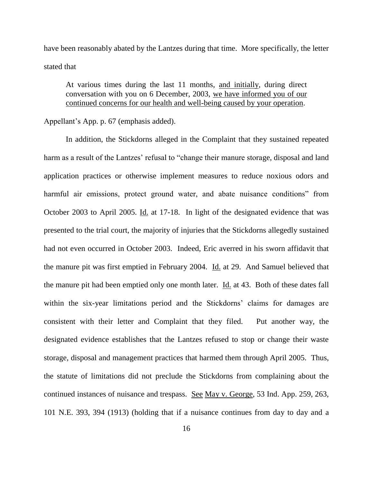have been reasonably abated by the Lantzes during that time. More specifically, the letter stated that

At various times during the last 11 months, and initially, during direct conversation with you on 6 December, 2003, we have informed you of our continued concerns for our health and well-being caused by your operation.

Appellant's App. p. 67 (emphasis added).

In addition, the Stickdorns alleged in the Complaint that they sustained repeated harm as a result of the Lantzes' refusal to "change their manure storage, disposal and land application practices or otherwise implement measures to reduce noxious odors and harmful air emissions, protect ground water, and abate nuisance conditions" from October 2003 to April 2005. Id. at 17-18. In light of the designated evidence that was presented to the trial court, the majority of injuries that the Stickdorns allegedly sustained had not even occurred in October 2003. Indeed, Eric averred in his sworn affidavit that the manure pit was first emptied in February 2004. Id. at 29. And Samuel believed that the manure pit had been emptied only one month later. Id. at 43. Both of these dates fall within the six-year limitations period and the Stickdorns' claims for damages are consistent with their letter and Complaint that they filed. Put another way, the designated evidence establishes that the Lantzes refused to stop or change their waste storage, disposal and management practices that harmed them through April 2005. Thus, the statute of limitations did not preclude the Stickdorns from complaining about the continued instances of nuisance and trespass. See May v. George, 53 Ind. App. 259, 263, 101 N.E. 393, 394 (1913) (holding that if a nuisance continues from day to day and a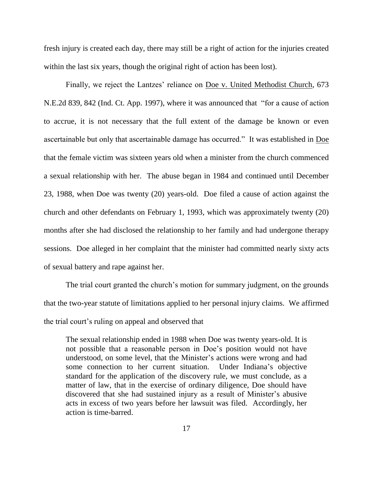fresh injury is created each day, there may still be a right of action for the injuries created within the last six years, though the original right of action has been lost).

Finally, we reject the Lantzes' reliance on Doe v. United Methodist Church, 673 N.E.2d 839, 842 (Ind. Ct. App. 1997), where it was announced that "for a cause of action to accrue, it is not necessary that the full extent of the damage be known or even ascertainable but only that ascertainable damage has occurred." It was established in Doe that the female victim was sixteen years old when a minister from the church commenced a sexual relationship with her. The abuse began in 1984 and continued until December 23, 1988, when Doe was twenty (20) years-old. Doe filed a cause of action against the church and other defendants on February 1, 1993, which was approximately twenty (20) months after she had disclosed the relationship to her family and had undergone therapy sessions. Doe alleged in her complaint that the minister had committed nearly sixty acts of sexual battery and rape against her.

The trial court granted the church's motion for summary judgment, on the grounds that the two-year statute of limitations applied to her personal injury claims. We affirmed the trial court's ruling on appeal and observed that

The sexual relationship ended in 1988 when Doe was twenty years-old. It is not possible that a reasonable person in Doe's position would not have understood, on some level, that the Minister's actions were wrong and had some connection to her current situation. Under Indiana's objective standard for the application of the discovery rule, we must conclude, as a matter of law, that in the exercise of ordinary diligence, Doe should have discovered that she had sustained injury as a result of Minister's abusive acts in excess of two years before her lawsuit was filed. Accordingly, her action is time-barred.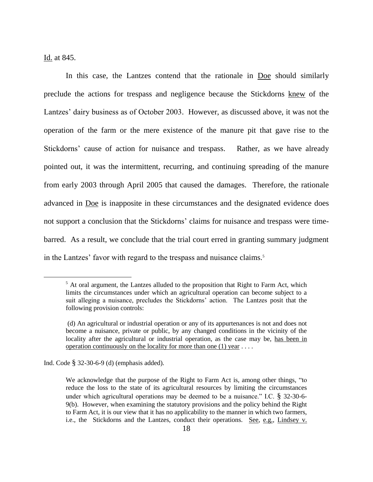Id. at 845.

In this case, the Lantzes contend that the rationale in Doe should similarly preclude the actions for trespass and negligence because the Stickdorns knew of the Lantzes' dairy business as of October 2003. However, as discussed above, it was not the operation of the farm or the mere existence of the manure pit that gave rise to the Stickdorns' cause of action for nuisance and trespass. Rather, as we have already pointed out, it was the intermittent, recurring, and continuing spreading of the manure from early 2003 through April 2005 that caused the damages. Therefore, the rationale advanced in Doe is inapposite in these circumstances and the designated evidence does not support a conclusion that the Stickdorns' claims for nuisance and trespass were timebarred. As a result, we conclude that the trial court erred in granting summary judgment in the Lantzes' favor with regard to the trespass and nuisance claims.<sup>5</sup>

Ind. Code § 32-30-6-9 (d) (emphasis added).

 $<sup>5</sup>$  At oral argument, the Lantzes alluded to the proposition that Right to Farm Act, which</sup> limits the circumstances under which an agricultural operation can become subject to a suit alleging a nuisance, precludes the Stickdorns' action. The Lantzes posit that the following provision controls:

<sup>(</sup>d) An agricultural or industrial operation or any of its appurtenances is not and does not become a nuisance, private or public, by any changed conditions in the vicinity of the locality after the agricultural or industrial operation, as the case may be, has been in operation continuously on the locality for more than one  $(1)$  year ...

We acknowledge that the purpose of the Right to Farm Act is, among other things, "to reduce the loss to the state of its agricultural resources by limiting the circumstances under which agricultural operations may be deemed to be a nuisance." I.C.  $\S$  32-30-6-9(b). However, when examining the statutory provisions and the policy behind the Right to Farm Act, it is our view that it has no applicability to the manner in which two farmers, i.e., the Stickdorns and the Lantzes, conduct their operations. See, e.g., Lindsey v.